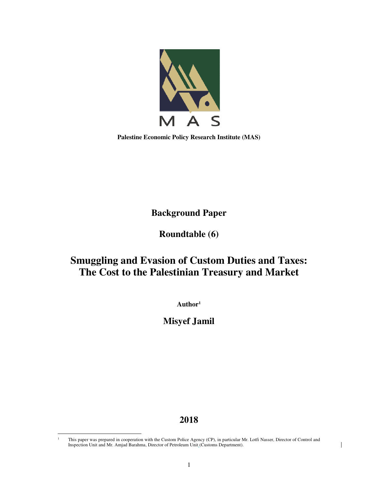

**Palestine Economic Policy Research Institute (MAS)** 

**Background Paper** 

**Roundtable (6)** 

# **Smuggling and Evasion of Custom Duties and Taxes: The Cost to the Palestinian Treasury and Market**

**Author<sup>1</sup>**

**Misyef Jamil** 

## **2018**

 $\overline{a}$ 1

 $\mathsf{l}$ 

This paper was prepared in cooperation with the Custom Police Agency (CP), in particular Mr. Lotfi Nasser, Director of Control and Inspection Unit and Mr. Amjad Barahma, Director of Petroleum Unit (Customs Department).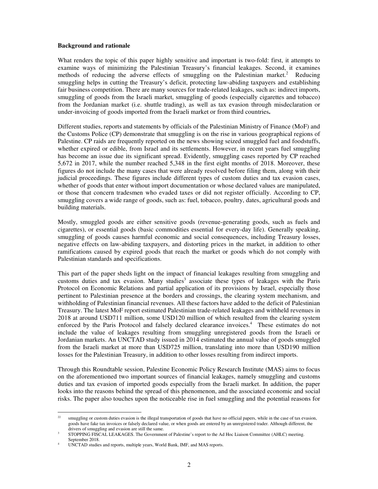#### **Background and rationale**

What renders the topic of this paper highly sensitive and important is two-fold: first, it attempts to examine ways of minimizing the Palestinian Treasury's financial leakages. Second, it examines methods of reducing the adverse effects of smuggling on the Palestinian market.<sup>2</sup> Reducing smuggling helps in cutting the Treasury's deficit, protecting law-abiding taxpayers and establishing fair business competition. There are many sources for trade-related leakages, such as: indirect imports, smuggling of goods from the Israeli market, smuggling of goods (especially cigarettes and tobacco) from the Jordanian market (i.e. shuttle trading), as well as tax evasion through misdeclaration or under-invoicing of goods imported from the Israeli market or from third countries**.**

Different studies, reports and statements by officials of the Palestinian Ministry of Finance (MoF) and the Customs Police (CP) demonstrate that smuggling is on the rise in various geographical regions of Palestine. CP raids are frequently reported on the news showing seized smuggled fuel and foodstuffs, whether expired or edible, from Israel and its settlements. However, in recent years fuel smuggling has become an issue due its significant spread. Evidently, smuggling cases reported by CP reached 5,672 in 2017, while the number reached 5,348 in the first eight months of 2018. Moreover, these figures do not include the many cases that were already resolved before filing them, along with their judicial proceedings. These figures include different types of custom duties and tax evasion cases, whether of goods that enter without import documentation or whose declared values are manipulated, or those that concern tradesmen who evaded taxes or did not register officially. According to CP, smuggling covers a wide range of goods, such as: fuel, tobacco, poultry, dates, agricultural goods and building materials.

Mostly, smuggled goods are either sensitive goods (revenue-generating goods, such as fuels and cigarettes), or essential goods (basic commodities essential for every-day life). Generally speaking, smuggling of goods causes harmful economic and social consequences, including Treasury losses, negative effects on law-abiding taxpayers, and distorting prices in the market, in addition to other ramifications caused by expired goods that reach the market or goods which do not comply with Palestinian standards and specifications.

This part of the paper sheds light on the impact of financial leakages resulting from smuggling and customs duties and tax evasion. Many studies<sup>3</sup> associate these types of leakages with the Paris Protocol on Economic Relations and partial application of its provisions by Israel, especially those pertinent to Palestinian presence at the borders and crossings, the clearing system mechanism, and withholding of Palestinian financial revenues. All these factors have added to the deficit of Palestinian Treasury. The latest MoF report estimated Palestinian trade-related leakages and withheld revenues in 2018 at around USD711 million, some USD120 million of which resulted from the clearing system enforced by the Paris Protocol and falsely declared clearance invoices.<sup>4</sup> These estimates do not include the value of leakages resulting from smuggling unregistered goods from the Israeli or Jordanian markets. An UNCTAD study issued in 2014 estimated the annual value of goods smuggled from the Israeli market at more than USD725 million, translating into more than USD190 million losses for the Palestinian Treasury, in addition to other losses resulting from indirect imports.

Through this Roundtable session, Palestine Economic Policy Research Institute (MAS) aims to focus on the aforementioned two important sources of financial leakages, namely smuggling and customs duties and tax evasion of imported goods especially from the Israeli market. In addition, the paper looks into the reasons behind the spread of this phenomenon, and the associated economic and social risks. The paper also touches upon the noticeable rise in fuel smuggling and the potential reasons for

 $\overline{a}$ 

<sup>&</sup>lt;sup>22</sup> smuggling or custom duties evasion is the illegal transportation of goods that have no official papers, while in the case of tax evasion, goods have fake tax invoices or falsely declared value, or when goods are entered by an unregistered trader. Although different, the drivers of smuggling and evasion are still the same.

<sup>3</sup> STOPPING FISCAL LEAKAGES. The Government of Palestine's report to the Ad Hoc Liaison Committee (AHLC) meeting. September 2018.

<sup>4</sup> UNCTAD studies and reports, multiple years, World Bank, IMF, and MAS reports.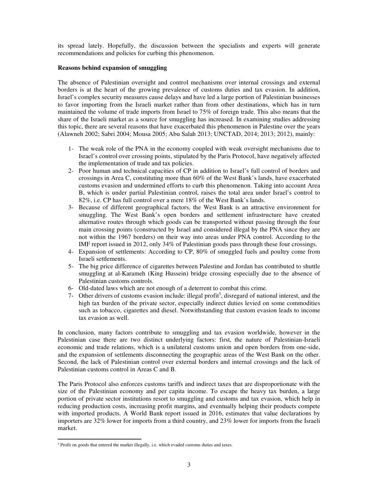its spread lately. Hopefully, the discussion between the specialists and experts will generate recommendations and policies for curbing this phenomenon.

#### **Reasons behind expansion of smuggling**

The absence of Palestinian oversight and control mechanisms over internal crossings and external borders is at the heart of the growing prevalence of customs duties and tax evasion. In addition, Israel's complex security measures cause delays and have led a large portion of Palestinian businesses to favor importing from the Israeli market rather than from other destinations, which has in turn maintained the volume of trade imports from Israel to 75% of foreign trade. This also means that the share of the Israeli market as a source for smuggling has increased. In examining studies addressing this topic, there are several reasons that have exacerbated this phenomenon in Palestine over the years (Alawneh 2002; Sabri 2004; Mousa 2005; Abu Salah 2013; UNCTAD, 2014; 2013; 2012), mainly:

- 1- The weak role of the PNA in the economy coupled with weak oversight mechanisms due to Israel's control over crossing points, stipulated by the Paris Protocol, have negatively affected the implementation of trade and tax policies.
- 2- Poor human and technical capacities of CP in addition to Israel's full control of borders and crossings in Area C, constituting more than 60% of the West Bank's lands, have exacerbated customs evasion and undermined efforts to curb this phenomenon. Taking into account Area B, which is under partial Palestinian control, raises the total area under Israel's control to 82%, i.e. CP has full control over a mere 18% of the West Bank's lands.
- 3- Because of different geographical factors, the West Bank is an attractive environment for smuggling. The West Bank's open borders and settlement infrastructure have created alternative routes through which goods can be transported without passing through the four main crossing points (constructed by Israel and considered illegal by the PNA since they are not within the 1967 borders) on their way into areas under PNA control. According to the IMF report issued in 2012, only 34% of Palestinian goods pass through these four crossings.
- 4- Expansion of settlements: According to CP, 80% of smuggled fuels and poultry come from Israeli settlements.
- 5- The big price difference of cigarettes between Palestine and Jordan has contributed to shuttle smuggling at al-Karameh (King Hussein) bridge crossing especially due to the absence of Palestinian customs controls.
- 6- Old-dated laws which are not enough of a deterrent to combat this crime.
- 7- Other drivers of customs evasion include: illegal profit<sup>5</sup>, disregard of national interest, and the high tax burden of the private sector, especially indirect duties levied on some commodities such as tobacco, cigarettes and diesel. Notwithstanding that custom evasion leads to income tax evasion as well.

In conclusion, many factors contribute to smuggling and tax evasion worldwide, however in the Palestinian case there are two distinct underlying factors: first, the nature of Palestinian-Israeli economic and trade relations, which is a unilateral customs union and open borders from one-side, and the expansion of settlements disconnecting the geographic areas of the West Bank on the other. Second, the lack of Palestinian control over external borders and internal crossings and the lack of Palestinian customs control in Areas C and B.

The Paris Protocol also enforces customs tariffs and indirect taxes that are disproportionate with the size of the Palestinian economy and per capita income. To escape the heavy tax burden, a large portion of private sector institutions resort to smuggling and customs and tax evasion, which help in reducing production costs, increasing profit margins, and eventually helping their products compete with imported products. A World Bank report issued in 2016, estimates that value declarations by importers are 32% lower for imports from a third country, and 23% lower for imports from the Israeli market.

 $\overline{a}$ 

<sup>&</sup>lt;sup>5</sup> Profit on goods that entered the market illegally, i.e. which evaded customs duties and taxes.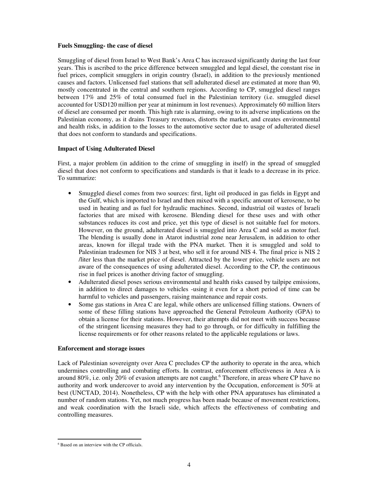#### **Fuels Smuggling- the case of diesel**

Smuggling of diesel from Israel to West Bank's Area C has increased significantly during the last four years. This is ascribed to the price difference between smuggled and legal diesel, the constant rise in fuel prices, complicit smugglers in origin country (Israel), in addition to the previously mentioned causes and factors. Unlicensed fuel stations that sell adulterated diesel are estimated at more than 90, mostly concentrated in the central and southern regions. According to CP, smuggled diesel ranges between 17% and 25% of total consumed fuel in the Palestinian territory (i.e. smuggled diesel accounted for USD120 million per year at minimum in lost revenues). Approximately 60 million liters of diesel are consumed per month. This high rate is alarming, owing to its adverse implications on the Palestinian economy, as it drains Treasury revenues, distorts the market, and creates environmental and health risks, in addition to the losses to the automotive sector due to usage of adulterated diesel that does not conform to standards and specifications.

### **Impact of Using Adulterated Diesel**

First, a major problem (in addition to the crime of smuggling in itself) in the spread of smuggled diesel that does not conform to specifications and standards is that it leads to a decrease in its price. To summarize:

- Smuggled diesel comes from two sources: first, light oil produced in gas fields in Egypt and the Gulf, which is imported to Israel and then mixed with a specific amount of kerosene, to be used in heating and as fuel for hydraulic machines. Second, industrial oil wastes of Israeli factories that are mixed with kerosene. Blending diesel for these uses and with other substances reduces its cost and price, yet this type of diesel is not suitable fuel for motors. However, on the ground, adulterated diesel is smuggled into Area C and sold as motor fuel. The blending is usually done in Atarot industrial zone near Jerusalem, in addition to other areas, known for illegal trade with the PNA market. Then it is smuggled and sold to Palestinian tradesmen for NIS 3 at best, who sell it for around NIS 4. The final price is NIS 2 /liter less than the market price of diesel. Attracted by the lower price, vehicle users are not aware of the consequences of using adulterated diesel. According to the CP, the continuous rise in fuel prices is another driving factor of smuggling.
- Adulterated diesel poses serious environmental and health risks caused by tailpipe emissions, in addition to direct damages to vehicles -using it even for a short period of time can be harmful to vehicles and passengers, raising maintenance and repair costs.
- Some gas stations in Area C are legal, while others are unlicensed filling stations. Owners of some of these filling stations have approached the General Petroleum Authority (GPA) to obtain a license for their stations. However, their attempts did not meet with success because of the stringent licensing measures they had to go through, or for difficulty in fulfilling the license requirements or for other reasons related to the applicable regulations or laws.

### **Enforcement and storage issues**

Lack of Palestinian sovereignty over Area C precludes CP the authority to operate in the area, which undermines controlling and combating efforts. In contrast, enforcement effectiveness in Area A is around 80%, i.e. only 20% of evasion attempts are not caught.<sup>6</sup> Therefore, in areas where CP have no authority and work undercover to avoid any intervention by the Occupation, enforcement is 50% at best (UNCTAD, 2014). Nonetheless, CP with the help with other PNA apparatuses has eliminated a number of random stations. Yet, not much progress has been made because of movement restrictions, and weak coordination with the Israeli side, which affects the effectiveness of combating and controlling measures.

 $\overline{a}$ 

<sup>6</sup> Based on an interview with the CP officials.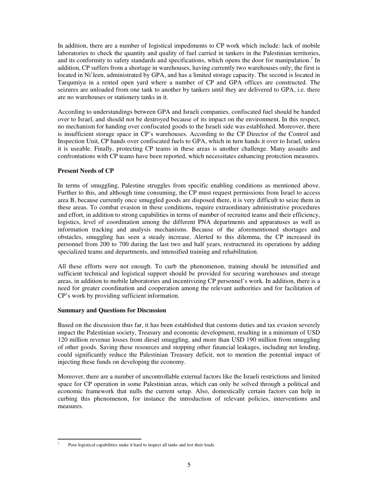In addition, there are a number of logistical impediments to CP work which include: lack of mobile laboratories to check the quantity and quality of fuel carried in tankers in the Palestinian territories, and its conformity to safety standards and specifications, which opens the door for manipulation.<sup>7</sup> In addition, CP suffers from a shortage in warehouses, having currently two warehouses only; the first is located in Ni'leen, administrated by GPA, and has a limited storage capacity. The second is located in Tarqumiya in a rented open yard where a number of CP and GPA offices are constructed. The seizures are unloaded from one tank to another by tankers until they are delivered to GPA, i.e. there are no warehouses or stationery tanks in it.

According to understandings between GPA and Israeli companies, confiscated fuel should be handed over to Israel, and should not be destroyed because of its impact on the environment. In this respect, no mechanism for handing over confiscated goods to the Israeli side was established. Moreover, there is insufficient storage space in CP's warehouses. According to the CP Director of the Control and Inspection Unit, CP hands over confiscated fuels to GPA, which in turn hands it over to Israel, unless it is useable. Finally, protecting CP teams in these areas is another challenge. Many assaults and confrontations with CP teams have been reported, which necessitates enhancing protection measures.

### **Present Needs of CP**

In terms of smuggling, Palestine struggles from specific enabling conditions as mentioned above. Further to this, and although time consuming, the CP must request permissions from Israel to access area B, because currently once smuggled goods are disposed there, it is very difficult to seize them in these areas. To combat evasion in these conditions, require extraordinary administrative procedures and effort, in addition to strong capabilities in terms of number of recruited teams and their efficiency, logistics, level of coordination among the different PNA departments and apparatuses as well as information tracking and analysis mechanisms. Because of the aforementioned shortages and obstacles, smuggling has seen a steady increase. Alerted to this dilemma, the CP increased its personnel from 200 to 700 during the last two and half years, restructured its operations by adding specialized teams and departments, and intensified training and rehabilitation.

All these efforts were not enough. To curb the phenomenon, training should be intensified and sufficient technical and logistical support should be provided for securing warehouses and storage areas, in addition to mobile laboratories and incentivizing CP personnel's work. In addition, there is a need for greater coordination and cooperation among the relevant authorities and for facilitation of CP's work by providing sufficient information.

### **Summary and Questions for Discussion**

 $\overline{a}$ 

Based on the discussion thus far, it has been established that customs duties and tax evasion severely impact the Palestinian society, Treasury and economic development, resulting in a minimum of USD 120 million revenue losses from diesel smuggling, and more than USD 190 million from smuggling of other goods. Saving these resources and stopping other financial leakages, including net lending, could significantly reduce the Palestinian Treasury deficit, not to mention the potential impact of injecting these funds on developing the economy.

Moreover, there are a number of uncontrollable external factors like the Israeli restrictions and limited space for CP operation in some Palestinian areas, which can only be solved through a political and economic framework that nulls the current setup. Also, domestically certain factors can help in curbing this phenomenon, for instance the introduction of relevant policies, interventions and measures.

<sup>7</sup> Poor logistical capabilities make it hard to inspect all tanks and test their loads.